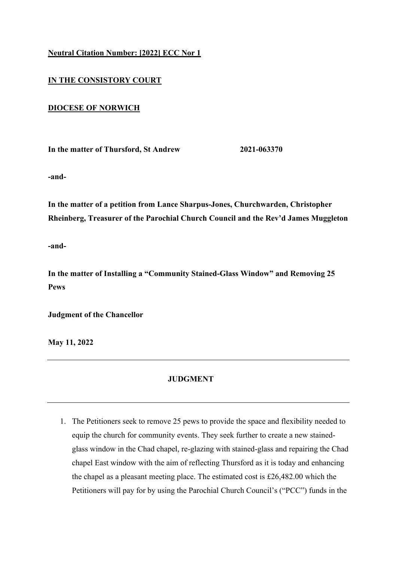## **Neutral Citation Number: [2022] ECC Nor 1**

## **IN THE CONSISTORY COURT**

## **DIOCESE OF NORWICH**

**In the matter of Thursford, St Andrew 2021-063370**

**-and-**

**In the matter of a petition from Lance Sharpus-Jones, Churchwarden, Christopher Rheinberg, Treasurer of the Parochial Church Council and the Rev'd James Muggleton** 

**-and-**

**In the matter of Installing a "Community Stained-Glass Window" and Removing 25 Pews** 

**Judgment of the Chancellor** 

**May 11, 2022** 

## **JUDGMENT**

1. The Petitioners seek to remove 25 pews to provide the space and flexibility needed to equip the church for community events. They seek further to create a new stainedglass window in the Chad chapel, re-glazing with stained-glass and repairing the Chad chapel East window with the aim of reflecting Thursford as it is today and enhancing the chapel as a pleasant meeting place. The estimated cost is £26,482.00 which the Petitioners will pay for by using the Parochial Church Council's ("PCC") funds in the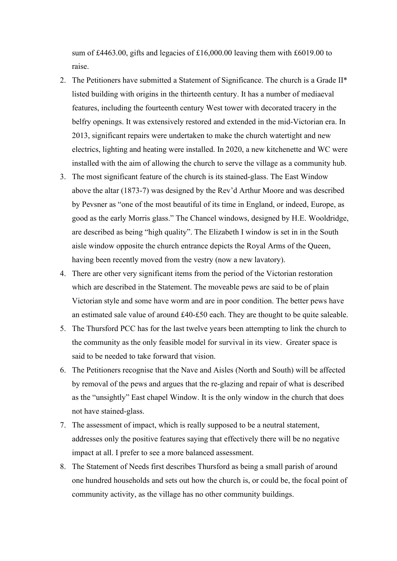sum of £4463.00, gifts and legacies of £16,000.00 leaving them with £6019.00 to raise.

- 2. The Petitioners have submitted a Statement of Significance. The church is a Grade II\* listed building with origins in the thirteenth century. It has a number of mediaeval features, including the fourteenth century West tower with decorated tracery in the belfry openings. It was extensively restored and extended in the mid-Victorian era. In 2013, significant repairs were undertaken to make the church watertight and new electrics, lighting and heating were installed. In 2020, a new kitchenette and WC were installed with the aim of allowing the church to serve the village as a community hub.
- 3. The most significant feature of the church is its stained-glass. The East Window above the altar (1873-7) was designed by the Rev'd Arthur Moore and was described by Pevsner as "one of the most beautiful of its time in England, or indeed, Europe, as good as the early Morris glass." The Chancel windows, designed by H.E. Wooldridge, are described as being "high quality". The Elizabeth I window is set in in the South aisle window opposite the church entrance depicts the Royal Arms of the Queen, having been recently moved from the vestry (now a new lavatory).
- 4. There are other very significant items from the period of the Victorian restoration which are described in the Statement. The moveable pews are said to be of plain Victorian style and some have worm and are in poor condition. The better pews have an estimated sale value of around £40-£50 each. They are thought to be quite saleable.
- 5. The Thursford PCC has for the last twelve years been attempting to link the church to the community as the only feasible model for survival in its view. Greater space is said to be needed to take forward that vision.
- 6. The Petitioners recognise that the Nave and Aisles (North and South) will be affected by removal of the pews and argues that the re-glazing and repair of what is described as the "unsightly" East chapel Window. It is the only window in the church that does not have stained-glass.
- 7. The assessment of impact, which is really supposed to be a neutral statement, addresses only the positive features saying that effectively there will be no negative impact at all. I prefer to see a more balanced assessment.
- 8. The Statement of Needs first describes Thursford as being a small parish of around one hundred households and sets out how the church is, or could be, the focal point of community activity, as the village has no other community buildings.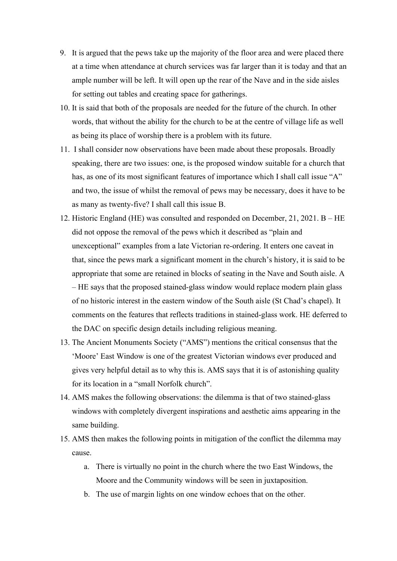- 9. It is argued that the pews take up the majority of the floor area and were placed there at a time when attendance at church services was far larger than it is today and that an ample number will be left. It will open up the rear of the Nave and in the side aisles for setting out tables and creating space for gatherings.
- 10. It is said that both of the proposals are needed for the future of the church. In other words, that without the ability for the church to be at the centre of village life as well as being its place of worship there is a problem with its future.
- 11. I shall consider now observations have been made about these proposals. Broadly speaking, there are two issues: one, is the proposed window suitable for a church that has, as one of its most significant features of importance which I shall call issue "A" and two, the issue of whilst the removal of pews may be necessary, does it have to be as many as twenty-five? I shall call this issue B.
- 12. Historic England (HE) was consulted and responded on December, 21, 2021. B HE did not oppose the removal of the pews which it described as "plain and unexceptional" examples from a late Victorian re-ordering. It enters one caveat in that, since the pews mark a significant moment in the church's history, it is said to be appropriate that some are retained in blocks of seating in the Nave and South aisle. A – HE says that the proposed stained-glass window would replace modern plain glass of no historic interest in the eastern window of the South aisle (St Chad's chapel). It comments on the features that reflects traditions in stained-glass work. HE deferred to the DAC on specific design details including religious meaning.
- 13. The Ancient Monuments Society ("AMS") mentions the critical consensus that the 'Moore' East Window is one of the greatest Victorian windows ever produced and gives very helpful detail as to why this is. AMS says that it is of astonishing quality for its location in a "small Norfolk church".
- 14. AMS makes the following observations: the dilemma is that of two stained-glass windows with completely divergent inspirations and aesthetic aims appearing in the same building.
- 15. AMS then makes the following points in mitigation of the conflict the dilemma may cause.
	- a. There is virtually no point in the church where the two East Windows, the Moore and the Community windows will be seen in juxtaposition.
	- b. The use of margin lights on one window echoes that on the other.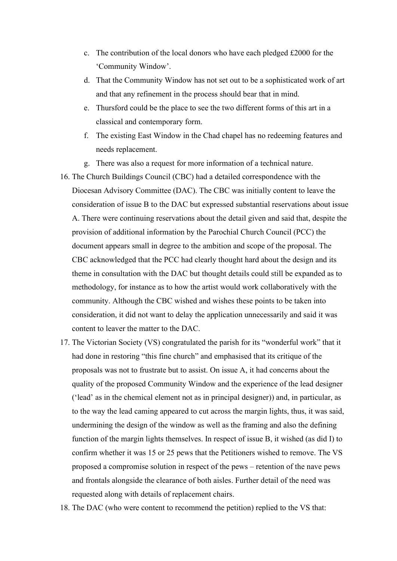- c. The contribution of the local donors who have each pledged £2000 for the 'Community Window'.
- d. That the Community Window has not set out to be a sophisticated work of art and that any refinement in the process should bear that in mind.
- e. Thursford could be the place to see the two different forms of this art in a classical and contemporary form.
- f. The existing East Window in the Chad chapel has no redeeming features and needs replacement.
- g. There was also a request for more information of a technical nature.
- 16. The Church Buildings Council (CBC) had a detailed correspondence with the Diocesan Advisory Committee (DAC). The CBC was initially content to leave the consideration of issue B to the DAC but expressed substantial reservations about issue A. There were continuing reservations about the detail given and said that, despite the provision of additional information by the Parochial Church Council (PCC) the document appears small in degree to the ambition and scope of the proposal. The CBC acknowledged that the PCC had clearly thought hard about the design and its theme in consultation with the DAC but thought details could still be expanded as to methodology, for instance as to how the artist would work collaboratively with the community. Although the CBC wished and wishes these points to be taken into consideration, it did not want to delay the application unnecessarily and said it was content to leaver the matter to the DAC.
- 17. The Victorian Society (VS) congratulated the parish for its "wonderful work" that it had done in restoring "this fine church" and emphasised that its critique of the proposals was not to frustrate but to assist. On issue A, it had concerns about the quality of the proposed Community Window and the experience of the lead designer ('lead' as in the chemical element not as in principal designer)) and, in particular, as to the way the lead caming appeared to cut across the margin lights, thus, it was said, undermining the design of the window as well as the framing and also the defining function of the margin lights themselves. In respect of issue B, it wished (as did I) to confirm whether it was 15 or 25 pews that the Petitioners wished to remove. The VS proposed a compromise solution in respect of the pews – retention of the nave pews and frontals alongside the clearance of both aisles. Further detail of the need was requested along with details of replacement chairs.
- 18. The DAC (who were content to recommend the petition) replied to the VS that: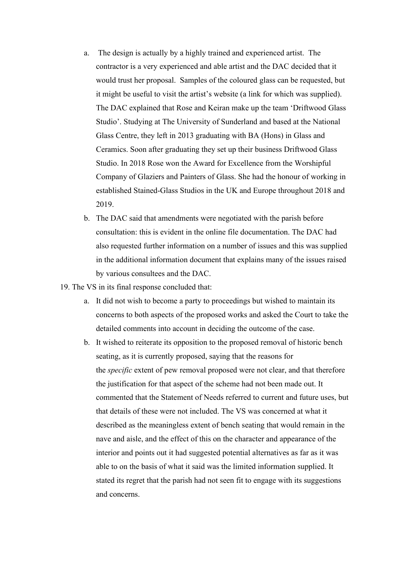- a. The design is actually by a highly trained and experienced artist. The contractor is a very experienced and able artist and the DAC decided that it would trust her proposal. Samples of the coloured glass can be requested, but it might be useful to visit the artist's website (a link for which was supplied). The DAC explained that Rose and Keiran make up the team 'Driftwood Glass Studio'. Studying at The University of Sunderland and based at the National Glass Centre, they left in 2013 graduating with BA (Hons) in Glass and Ceramics. Soon after graduating they set up their business Driftwood Glass Studio. In 2018 Rose won the Award for Excellence from the Worshipful Company of Glaziers and Painters of Glass. She had the honour of working in established Stained-Glass Studios in the UK and Europe throughout 2018 and 2019.
- b. The DAC said that amendments were negotiated with the parish before consultation: this is evident in the online file documentation. The DAC had also requested further information on a number of issues and this was supplied in the additional information document that explains many of the issues raised by various consultees and the DAC.
- 19. The VS in its final response concluded that:
	- a. It did not wish to become a party to proceedings but wished to maintain its concerns to both aspects of the proposed works and asked the Court to take the detailed comments into account in deciding the outcome of the case.
	- b. It wished to reiterate its opposition to the proposed removal of historic bench seating, as it is currently proposed, saying that the reasons for the *specific* extent of pew removal proposed were not clear, and that therefore the justification for that aspect of the scheme had not been made out. It commented that the Statement of Needs referred to current and future uses, but that details of these were not included. The VS was concerned at what it described as the meaningless extent of bench seating that would remain in the nave and aisle, and the effect of this on the character and appearance of the interior and points out it had suggested potential alternatives as far as it was able to on the basis of what it said was the limited information supplied. It stated its regret that the parish had not seen fit to engage with its suggestions and concerns.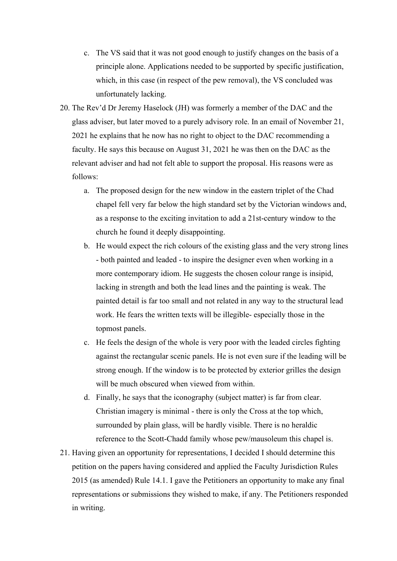- c. The VS said that it was not good enough to justify changes on the basis of a principle alone. Applications needed to be supported by specific justification, which, in this case (in respect of the pew removal), the VS concluded was unfortunately lacking.
- 20. The Rev'd Dr Jeremy Haselock (JH) was formerly a member of the DAC and the glass adviser, but later moved to a purely advisory role. In an email of November 21, 2021 he explains that he now has no right to object to the DAC recommending a faculty. He says this because on August 31, 2021 he was then on the DAC as the relevant adviser and had not felt able to support the proposal. His reasons were as follows:
	- a. The proposed design for the new window in the eastern triplet of the Chad chapel fell very far below the high standard set by the Victorian windows and, as a response to the exciting invitation to add a 21st-century window to the church he found it deeply disappointing.
	- b. He would expect the rich colours of the existing glass and the very strong lines - both painted and leaded - to inspire the designer even when working in a more contemporary idiom. He suggests the chosen colour range is insipid, lacking in strength and both the lead lines and the painting is weak. The painted detail is far too small and not related in any way to the structural lead work. He fears the written texts will be illegible- especially those in the topmost panels.
	- c. He feels the design of the whole is very poor with the leaded circles fighting against the rectangular scenic panels. He is not even sure if the leading will be strong enough. If the window is to be protected by exterior grilles the design will be much obscured when viewed from within.
	- d. Finally, he says that the iconography (subject matter) is far from clear. Christian imagery is minimal - there is only the Cross at the top which, surrounded by plain glass, will be hardly visible. There is no heraldic reference to the Scott-Chadd family whose pew/mausoleum this chapel is.
- 21. Having given an opportunity for representations, I decided I should determine this petition on the papers having considered and applied the Faculty Jurisdiction Rules 2015 (as amended) Rule 14.1. I gave the Petitioners an opportunity to make any final representations or submissions they wished to make, if any. The Petitioners responded in writing.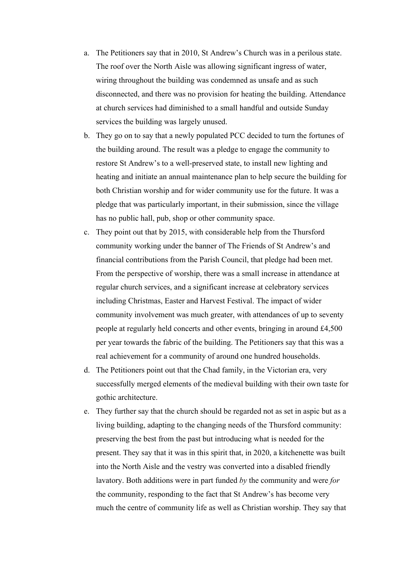- a. The Petitioners say that in 2010, St Andrew's Church was in a perilous state. The roof over the North Aisle was allowing significant ingress of water, wiring throughout the building was condemned as unsafe and as such disconnected, and there was no provision for heating the building. Attendance at church services had diminished to a small handful and outside Sunday services the building was largely unused.
- b. They go on to say that a newly populated PCC decided to turn the fortunes of the building around. The result was a pledge to engage the community to restore St Andrew's to a well-preserved state, to install new lighting and heating and initiate an annual maintenance plan to help secure the building for both Christian worship and for wider community use for the future. It was a pledge that was particularly important, in their submission, since the village has no public hall, pub, shop or other community space.
- c. They point out that by 2015, with considerable help from the Thursford community working under the banner of The Friends of St Andrew's and financial contributions from the Parish Council, that pledge had been met. From the perspective of worship, there was a small increase in attendance at regular church services, and a significant increase at celebratory services including Christmas, Easter and Harvest Festival. The impact of wider community involvement was much greater, with attendances of up to seventy people at regularly held concerts and other events, bringing in around £4,500 per year towards the fabric of the building. The Petitioners say that this was a real achievement for a community of around one hundred households.
- d. The Petitioners point out that the Chad family, in the Victorian era, very successfully merged elements of the medieval building with their own taste for gothic architecture.
- e. They further say that the church should be regarded not as set in aspic but as a living building, adapting to the changing needs of the Thursford community: preserving the best from the past but introducing what is needed for the present. They say that it was in this spirit that, in 2020, a kitchenette was built into the North Aisle and the vestry was converted into a disabled friendly lavatory. Both additions were in part funded *by* the community and were *for* the community, responding to the fact that St Andrew's has become very much the centre of community life as well as Christian worship. They say that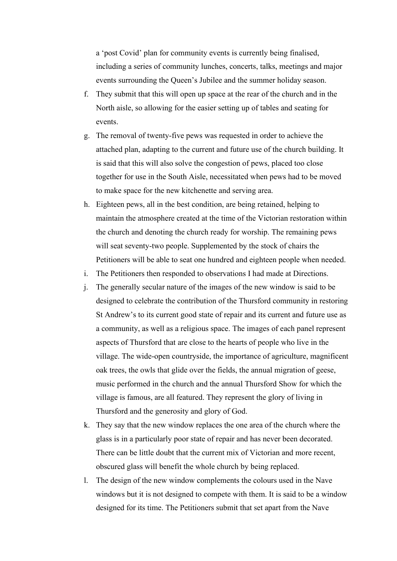a 'post Covid' plan for community events is currently being finalised, including a series of community lunches, concerts, talks, meetings and major events surrounding the Queen's Jubilee and the summer holiday season.

- f. They submit that this will open up space at the rear of the church and in the North aisle, so allowing for the easier setting up of tables and seating for events.
- g. The removal of twenty-five pews was requested in order to achieve the attached plan, adapting to the current and future use of the church building. It is said that this will also solve the congestion of pews, placed too close together for use in the South Aisle, necessitated when pews had to be moved to make space for the new kitchenette and serving area.
- h. Eighteen pews, all in the best condition, are being retained, helping to maintain the atmosphere created at the time of the Victorian restoration within the church and denoting the church ready for worship. The remaining pews will seat seventy-two people. Supplemented by the stock of chairs the Petitioners will be able to seat one hundred and eighteen people when needed.
- i. The Petitioners then responded to observations I had made at Directions.
- j. The generally secular nature of the images of the new window is said to be designed to celebrate the contribution of the Thursford community in restoring St Andrew's to its current good state of repair and its current and future use as a community, as well as a religious space. The images of each panel represent aspects of Thursford that are close to the hearts of people who live in the village. The wide-open countryside, the importance of agriculture, magnificent oak trees, the owls that glide over the fields, the annual migration of geese, music performed in the church and the annual Thursford Show for which the village is famous, are all featured. They represent the glory of living in Thursford and the generosity and glory of God.
- k. They say that the new window replaces the one area of the church where the glass is in a particularly poor state of repair and has never been decorated. There can be little doubt that the current mix of Victorian and more recent, obscured glass will benefit the whole church by being replaced.
- l. The design of the new window complements the colours used in the Nave windows but it is not designed to compete with them. It is said to be a window designed for its time. The Petitioners submit that set apart from the Nave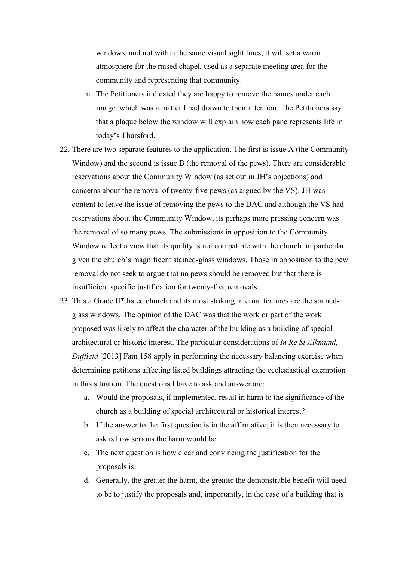windows, and not within the same visual sight lines, it will set a warm atmosphere for the raised chapel, used as a separate meeting area for the community and representing that community.

- m. The Petitioners indicated they are happy to remove the names under each image, which was a matter I had drawn to their attention. The Petitioners say that a plaque below the window will explain how each pane represents life in today's Thursford.
- 22. There are two separate features to the application. The first is issue A (the Community Window) and the second is issue B (the removal of the pews). There are considerable reservations about the Community Window (as set out in JH's objections) and concerns about the removal of twenty-five pews (as argued by the VS). JH was content to leave the issue of removing the pews to the DAC and although the VS had reservations about the Community Window, its perhaps more pressing concern was the removal of so many pews. The submissions in opposition to the Community Window reflect a view that its quality is not compatible with the church, in particular given the church's magnificent stained-glass windows. Those in opposition to the pew removal do not seek to argue that no pews should be removed but that there is insufficient specific justification for twenty-five removals.
- 23. This a Grade II\* listed church and its most striking internal features are the stainedglass windows. The opinion of the DAC was that the work or part of the work proposed was likely to affect the character of the building as a building of special architectural or historic interest. The particular considerations of *In Re St Alkmund, Duffield* [2013] Fam 158 apply in performing the necessary balancing exercise when determining petitions affecting listed buildings attracting the ecclesiastical exemption in this situation. The questions I have to ask and answer are:
	- a. Would the proposals, if implemented, result in harm to the significance of the church as a building of special architectural or historical interest?
	- b. If the answer to the first question is in the affirmative, it is then necessary to ask is how serious the harm would be.
	- c. The next question is how clear and convincing the justification for the proposals is.
	- d. Generally, the greater the harm, the greater the demonstrable benefit will need to be to justify the proposals and, importantly, in the case of a building that is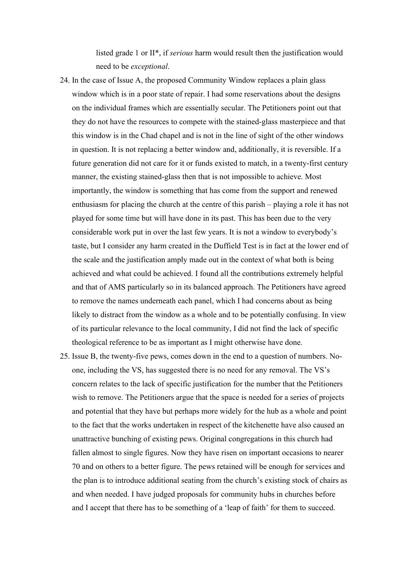listed grade 1 or II\*, if *serious* harm would result then the justification would need to be *exceptional*.

- 24. In the case of Issue A, the proposed Community Window replaces a plain glass window which is in a poor state of repair. I had some reservations about the designs on the individual frames which are essentially secular. The Petitioners point out that they do not have the resources to compete with the stained-glass masterpiece and that this window is in the Chad chapel and is not in the line of sight of the other windows in question. It is not replacing a better window and, additionally, it is reversible. If a future generation did not care for it or funds existed to match, in a twenty-first century manner, the existing stained-glass then that is not impossible to achieve. Most importantly, the window is something that has come from the support and renewed enthusiasm for placing the church at the centre of this parish – playing a role it has not played for some time but will have done in its past. This has been due to the very considerable work put in over the last few years. It is not a window to everybody's taste, but I consider any harm created in the Duffield Test is in fact at the lower end of the scale and the justification amply made out in the context of what both is being achieved and what could be achieved. I found all the contributions extremely helpful and that of AMS particularly so in its balanced approach. The Petitioners have agreed to remove the names underneath each panel, which I had concerns about as being likely to distract from the window as a whole and to be potentially confusing. In view of its particular relevance to the local community, I did not find the lack of specific theological reference to be as important as I might otherwise have done.
- 25. Issue B, the twenty-five pews, comes down in the end to a question of numbers. Noone, including the VS, has suggested there is no need for any removal. The VS's concern relates to the lack of specific justification for the number that the Petitioners wish to remove. The Petitioners argue that the space is needed for a series of projects and potential that they have but perhaps more widely for the hub as a whole and point to the fact that the works undertaken in respect of the kitchenette have also caused an unattractive bunching of existing pews. Original congregations in this church had fallen almost to single figures. Now they have risen on important occasions to nearer 70 and on others to a better figure. The pews retained will be enough for services and the plan is to introduce additional seating from the church's existing stock of chairs as and when needed. I have judged proposals for community hubs in churches before and I accept that there has to be something of a 'leap of faith' for them to succeed.